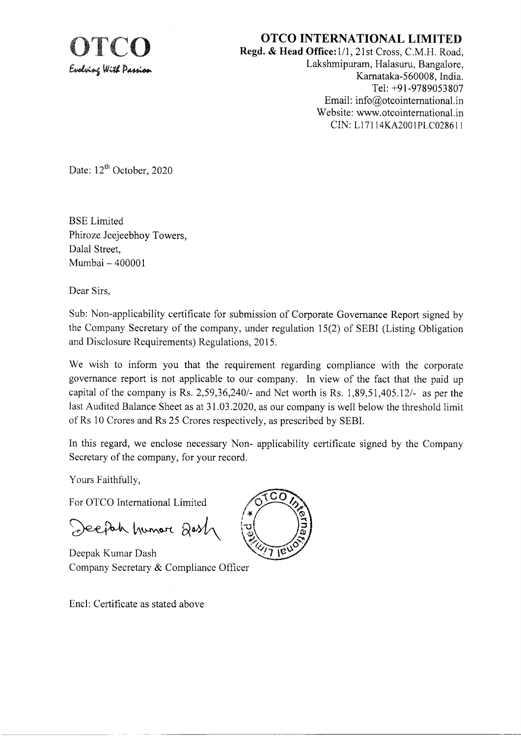## **OTCO INTERNATIONAL LIMITED**

Regd. & Head Office: 1/1, 21st Cross, C.M.H. Road, Lakshmipuram, Halasuru, Bangalore, Karnataka-560008, India. Tel: +91-9789053807 Email: info@otcointernational.in Website: www.otcointernational.in CIN: L17114KA2001PLC028611

Date: 12<sup>th</sup> October, 2020

**BSE** Limited Phiroze Jeejeebhov Towers. Dalal Street, Mumbai - 400001

Dear Sirs,

Sub: Non-applicability certificate for submission of Corporate Governance Report signed by the Company Secretary of the company, under regulation 15(2) of SEBI (Listing Obligation and Disclosure Requirements) Regulations, 2015.

We wish to inform you that the requirement regarding compliance with the corporate governance report is not applicable to our company. In view of the fact that the paid up capital of the company is Rs.  $2,59,36,240/4$  and Net worth is Rs.  $1,89,51,405.12/4$  as per the last Audited Balance Sheet as at 31.03.2020, as our company is well below the threshold limit of Rs 10 Crores and Rs 25 Crores respectively, as prescribed by SEBI.

In this regard, we enclose necessary Non- applicability certificate signed by the Company Secretary of the company, for your record.

Yours Faithfully,

For OTCO International Limited

Deeph humor Qost

Deepak Kumar Dash Company Secretary & Compliance Officer

Encl: Certificate as stated above